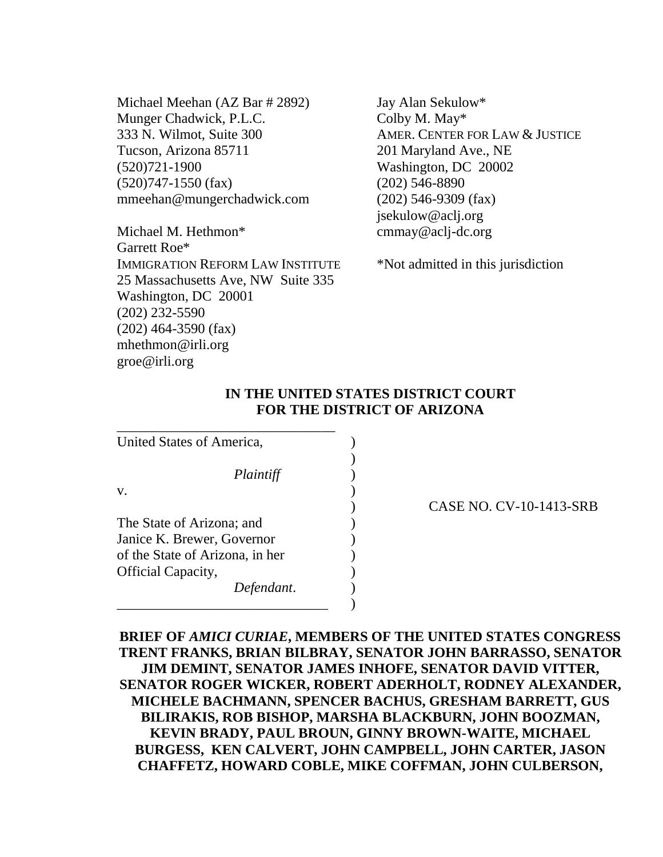Michael Meehan (AZ Bar # 2892) Munger Chadwick, P.L.C. 333 N. Wilmot, Suite 300 Tucson, Arizona 85711 (520)721-1900 (520)747-1550 (fax) mmeehan@mungerchadwick.com

Michael M. Hethmon\* Garrett Roe\* IMMIGRATION REFORM LAW INSTITUTE 25 Massachusetts Ave, NW Suite 335 Washington, DC 20001 (202) 232-5590 (202) 464-3590 (fax) mhethmon@irli.org groe@irli.org

Jay Alan Sekulow\* Colby M. May\* AMER. CENTER FOR LAW & JUSTICE 201 Maryland Ave., NE Washington, DC 20002 (202) 546-8890 (202) 546-9309 (fax) jsekulow@aclj.org cmmay@aclj-dc.org

\*Not admitted in this jurisdiction

### **IN THE UNITED STATES DISTRICT COURT FOR THE DISTRICT OF ARIZONA**

)

United States of America, (1992) *Plaintiff* )  $\mathbf{v}$ .  $\qquad \qquad$  ) The State of Arizona; and ) Janice K. Brewer, Governor of the State of Arizona, in her ) Official Capacity, ) *Defendant*. )

\_\_\_\_\_\_\_\_\_\_\_\_\_\_\_\_\_\_\_\_\_\_\_\_\_\_\_\_\_\_ )

\_\_\_\_\_\_\_\_\_\_\_\_\_\_\_\_\_\_\_\_\_\_\_\_\_\_\_\_\_\_\_

) CASE NO. CV-10-1413-SRB

**BRIEF OF** *AMICI CURIAE***, MEMBERS OF THE UNITED STATES CONGRESS TRENT FRANKS, BRIAN BILBRAY, SENATOR JOHN BARRASSO, SENATOR JIM DEMINT, SENATOR JAMES INHOFE, SENATOR DAVID VITTER, SENATOR ROGER WICKER, ROBERT ADERHOLT, RODNEY ALEXANDER, MICHELE BACHMANN, SPENCER BACHUS, GRESHAM BARRETT, GUS BILIRAKIS, ROB BISHOP, MARSHA BLACKBURN, JOHN BOOZMAN, KEVIN BRADY, PAUL BROUN, GINNY BROWN-WAITE, MICHAEL BURGESS, KEN CALVERT, JOHN CAMPBELL, JOHN CARTER, JASON CHAFFETZ, HOWARD COBLE, MIKE COFFMAN, JOHN CULBERSON,**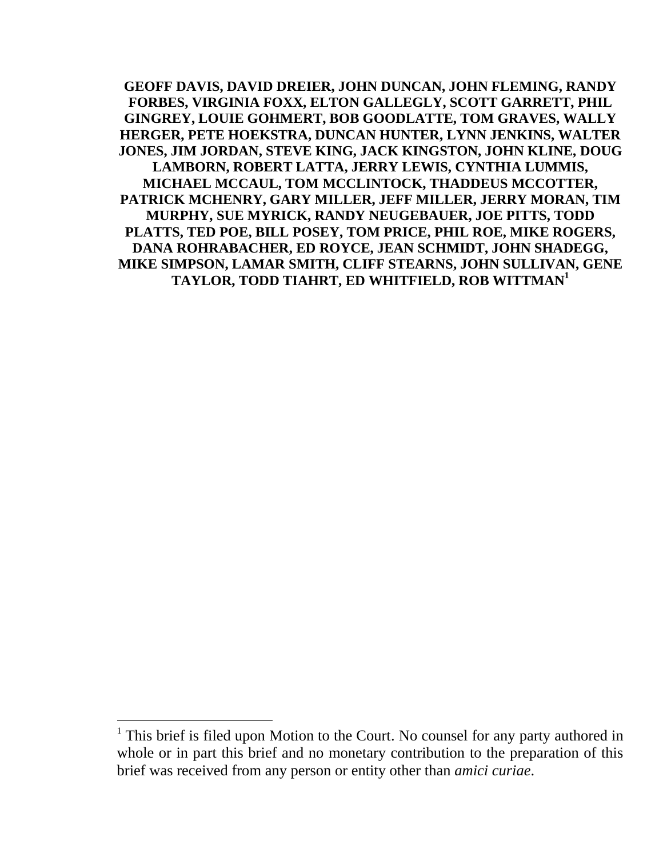**GEOFF DAVIS, DAVID DREIER, JOHN DUNCAN, JOHN FLEMING, RANDY FORBES, VIRGINIA FOXX, ELTON GALLEGLY, SCOTT GARRETT, PHIL GINGREY, LOUIE GOHMERT, BOB GOODLATTE, TOM GRAVES, WALLY HERGER, PETE HOEKSTRA, DUNCAN HUNTER, LYNN JENKINS, WALTER JONES, JIM JORDAN, STEVE KING, JACK KINGSTON, JOHN KLINE, DOUG LAMBORN, ROBERT LATTA, JERRY LEWIS, CYNTHIA LUMMIS, MICHAEL MCCAUL, TOM MCCLINTOCK, THADDEUS MCCOTTER, PATRICK MCHENRY, GARY MILLER, JEFF MILLER, JERRY MORAN, TIM MURPHY, SUE MYRICK, RANDY NEUGEBAUER, JOE PITTS, TODD PLATTS, TED POE, BILL POSEY, TOM PRICE, PHIL ROE, MIKE ROGERS, DANA ROHRABACHER, ED ROYCE, JEAN SCHMIDT, JOHN SHADEGG, MIKE SIMPSON, LAMAR SMITH, CLIFF STEARNS, JOHN SULLIVAN, GENE TAYLOR, TODD TIAHRT, ED WHITFIELD, ROB WITTMAN<sup>1</sup>**

1

 $<sup>1</sup>$  This brief is filed upon Motion to the Court. No counsel for any party authored in</sup> whole or in part this brief and no monetary contribution to the preparation of this brief was received from any person or entity other than *amici curiae*.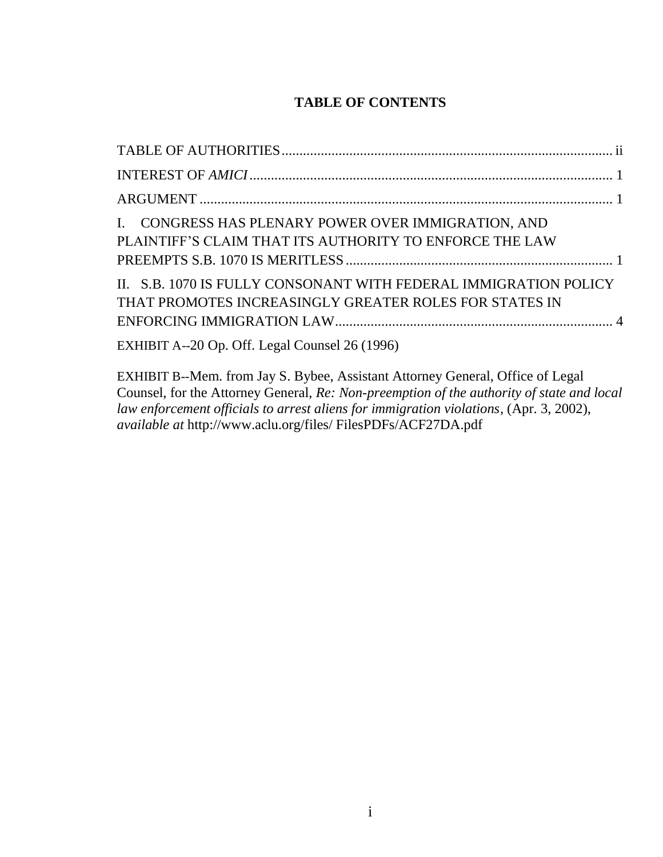# **TABLE OF CONTENTS**

| I. CONGRESS HAS PLENARY POWER OVER IMMIGRATION, AND<br>PLAINTIFF'S CLAIM THAT ITS AUTHORITY TO ENFORCE THE LAW             |  |
|----------------------------------------------------------------------------------------------------------------------------|--|
| II. S.B. 1070 IS FULLY CONSONANT WITH FEDERAL IMMIGRATION POLICY<br>THAT PROMOTES INCREASINGLY GREATER ROLES FOR STATES IN |  |
| EXHIBIT A--20 Op. Off. Legal Counsel 26 (1996)                                                                             |  |

EXHIBIT B--Mem. from Jay S. Bybee, Assistant Attorney General, Office of Legal Counsel, for the Attorney General, *Re: Non-preemption of the authority of state and local law enforcement officials to arrest aliens for immigration violations*, (Apr. 3, 2002), *available at* http://www.aclu.org/files/ FilesPDFs/ACF27DA.pdf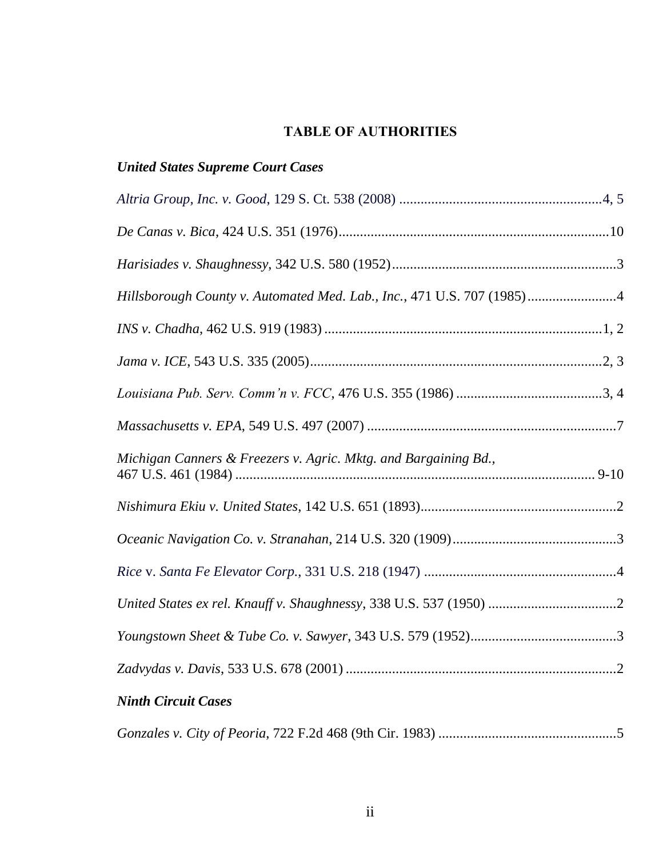# **TABLE OF AUTHORITIES**

# <span id="page-3-0"></span>*United States Supreme Court Cases*

| Hillsborough County v. Automated Med. Lab., Inc., 471 U.S. 707 (1985)4 |
|------------------------------------------------------------------------|
|                                                                        |
|                                                                        |
|                                                                        |
|                                                                        |
| Michigan Canners & Freezers v. Agric. Mktg. and Bargaining Bd.,        |
|                                                                        |
|                                                                        |
|                                                                        |
|                                                                        |
|                                                                        |
|                                                                        |
| $\mathbf{F}$                                                           |

# *Ninth Circuit Cases*

|--|--|--|--|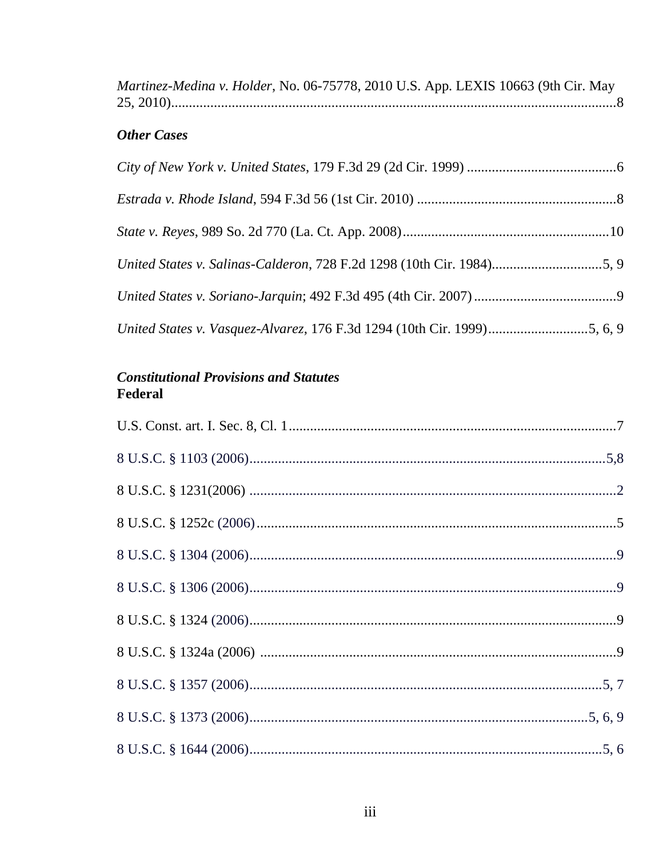Martinez-Medina v. Holder, No. 06-75778, 2010 U.S. App. LEXIS 10663 (9th Cir. May 

# **Other Cases**

| United States v. Salinas-Calderon, 728 F.2d 1298 (10th Cir. 1984)5, 9 |  |
|-----------------------------------------------------------------------|--|
|                                                                       |  |
|                                                                       |  |

# **Constitutional Provisions and Statutes** Federal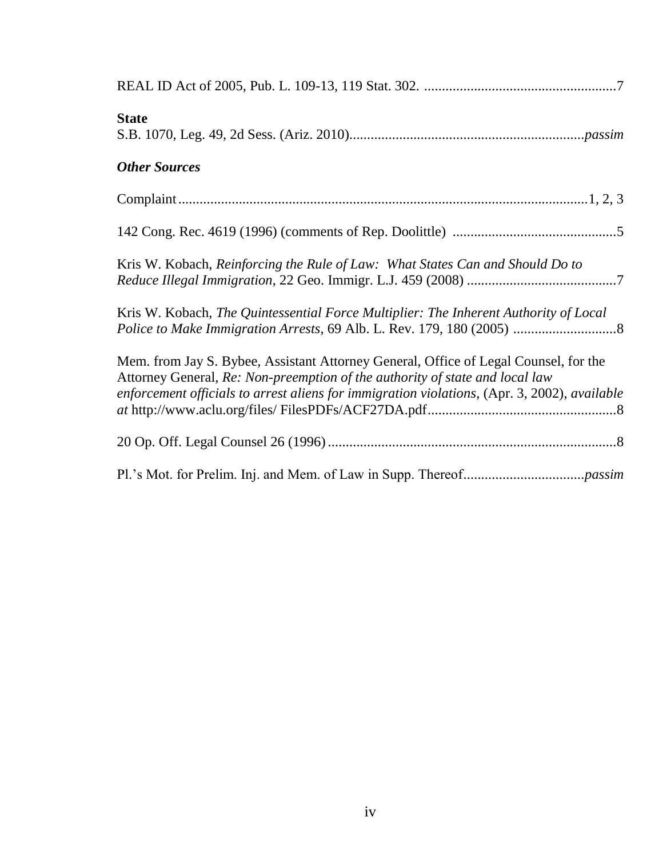| <b>State</b>                                                                                                                                                                                                                                                         |
|----------------------------------------------------------------------------------------------------------------------------------------------------------------------------------------------------------------------------------------------------------------------|
| <b>Other Sources</b>                                                                                                                                                                                                                                                 |
|                                                                                                                                                                                                                                                                      |
|                                                                                                                                                                                                                                                                      |
| Kris W. Kobach, Reinforcing the Rule of Law: What States Can and Should Do to                                                                                                                                                                                        |
| Kris W. Kobach, The Quintessential Force Multiplier: The Inherent Authority of Local                                                                                                                                                                                 |
| Mem. from Jay S. Bybee, Assistant Attorney General, Office of Legal Counsel, for the<br>Attorney General, Re: Non-preemption of the authority of state and local law<br>enforcement officials to arrest aliens for immigration violations, (Apr. 3, 2002), available |
|                                                                                                                                                                                                                                                                      |
|                                                                                                                                                                                                                                                                      |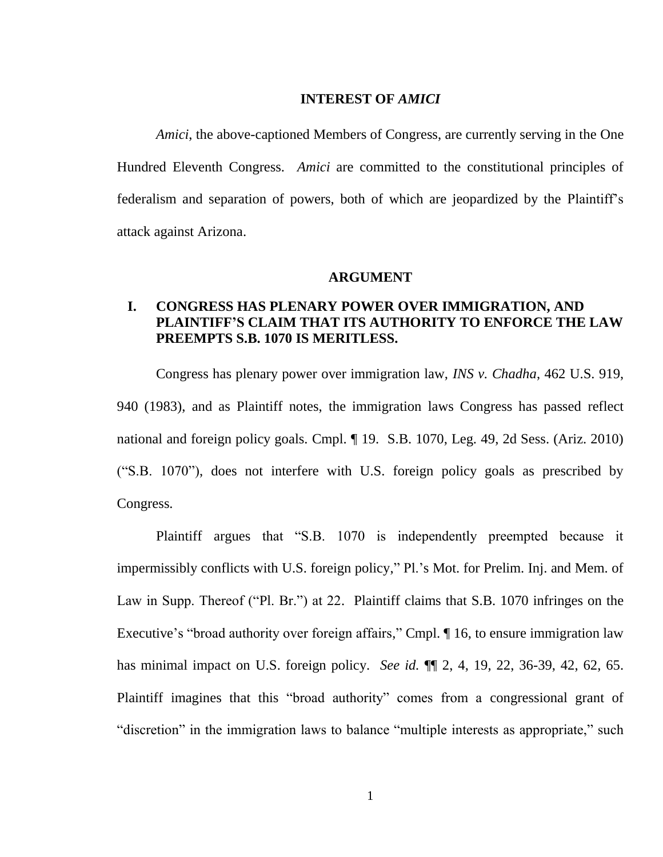#### **INTEREST OF** *AMICI*

<span id="page-6-0"></span>*Amici*, the above-captioned Members of Congress, are currently serving in the One Hundred Eleventh Congress. *Amici* are committed to the constitutional principles of federalism and separation of powers, both of which are jeopardized by the Plaintiff"s attack against Arizona.

#### **ARGUMENT**

### <span id="page-6-2"></span><span id="page-6-1"></span>**I. CONGRESS HAS PLENARY POWER OVER IMMIGRATION, AND PLAINTIFF'S CLAIM THAT ITS AUTHORITY TO ENFORCE THE LAW PREEMPTS S.B. 1070 IS MERITLESS.**

Congress has plenary power over immigration law, *INS v. Chadha*, 462 U.S. 919, 940 (1983), and as Plaintiff notes, the immigration laws Congress has passed reflect national and foreign policy goals. Cmpl. ¶ 19. S.B. 1070, Leg. 49, 2d Sess. (Ariz. 2010) ("S.B. 1070"), does not interfere with U.S. foreign policy goals as prescribed by Congress.

Plaintiff argues that "S.B. 1070 is independently preempted because it impermissibly conflicts with U.S. foreign policy," Pl."s Mot. for Prelim. Inj. and Mem. of Law in Supp. Thereof ("Pl. Br.") at 22. Plaintiff claims that S.B. 1070 infringes on the Executive's "broad authority over foreign affairs," Cmpl.  $\P$  16, to ensure immigration law has minimal impact on U.S. foreign policy. *See id.* ¶¶ 2, 4, 19, 22, 36-39, 42, 62, 65. Plaintiff imagines that this "broad authority" comes from a congressional grant of "discretion" in the immigration laws to balance "multiple interests as appropriate," such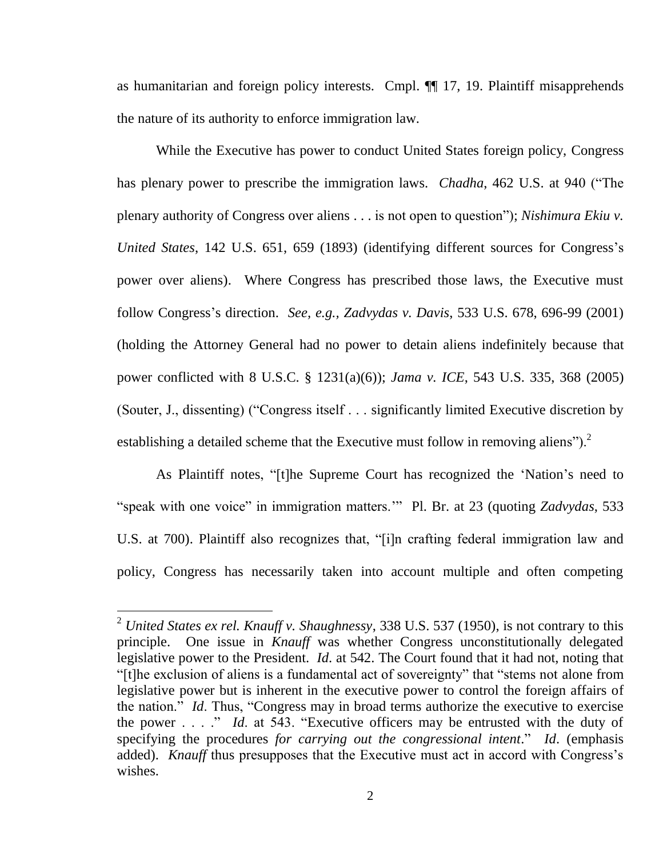as humanitarian and foreign policy interests. Cmpl. ¶¶ 17, 19. Plaintiff misapprehends the nature of its authority to enforce immigration law.

While the Executive has power to conduct United States foreign policy, Congress has plenary power to prescribe the immigration laws. *Chadha*, 462 U.S. at 940 ("The plenary authority of Congress over aliens . . . is not open to question"); *Nishimura Ekiu v. United States*, 142 U.S. 651, 659 (1893) (identifying different sources for Congress's power over aliens). Where Congress has prescribed those laws, the Executive must follow Congress"s direction. *See, e.g., Zadvydas v. Davis*, 533 U.S. 678, 696-99 (2001) (holding the Attorney General had no power to detain aliens indefinitely because that power conflicted with 8 U.S.C. § 1231(a)(6)); *Jama v. ICE*, 543 U.S. 335, 368 (2005) (Souter, J., dissenting) ("Congress itself . . . significantly limited Executive discretion by establishing a detailed scheme that the Executive must follow in removing aliens").<sup>2</sup>

As Plaintiff notes, "[t]he Supreme Court has recognized the "Nation"s need to "speak with one voice" in immigration matters."" Pl. Br. at 23 (quoting *Zadvydas*, 533 U.S. at 700). Plaintiff also recognizes that, "[i]n crafting federal immigration law and policy, Congress has necessarily taken into account multiple and often competing

1

<sup>2</sup> *United States ex rel. Knauff v. Shaughnessy*, 338 U.S. 537 (1950), is not contrary to this principle. One issue in *Knauff* was whether Congress unconstitutionally delegated legislative power to the President. *Id*. at 542. The Court found that it had not, noting that "[t]he exclusion of aliens is a fundamental act of sovereignty" that "stems not alone from legislative power but is inherent in the executive power to control the foreign affairs of the nation." *Id*. Thus, "Congress may in broad terms authorize the executive to exercise the power . . . ." *Id*. at 543. "Executive officers may be entrusted with the duty of specifying the procedures *for carrying out the congressional intent*." *Id*. (emphasis added). *Knauff* thus presupposes that the Executive must act in accord with Congress's wishes.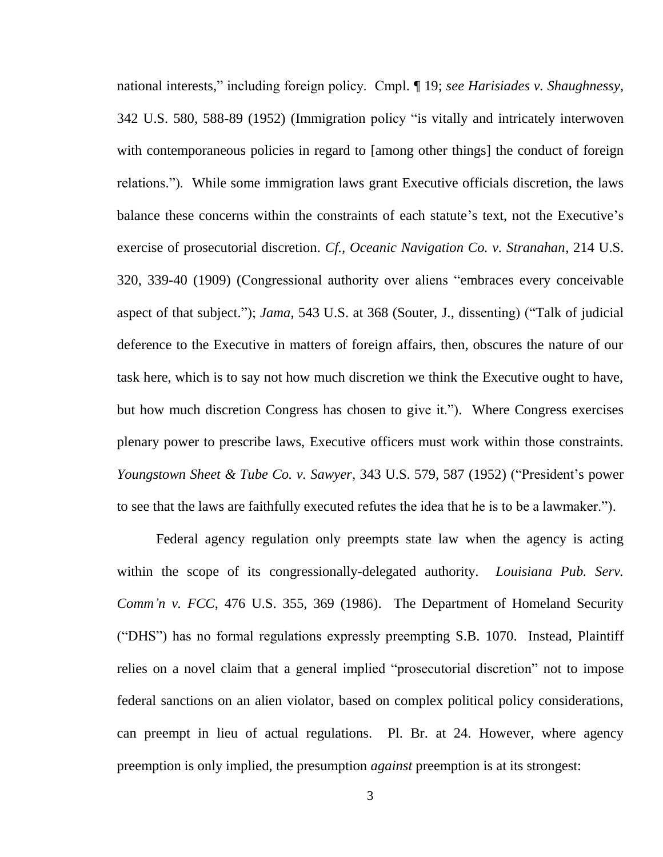national interests," including foreign policy. Cmpl. ¶ 19; *see Harisiades v. Shaughnessy*, 342 U.S. 580, 588-89 (1952) (Immigration policy "is vitally and intricately interwoven with contemporaneous policies in regard to [among other things] the conduct of foreign relations."). While some immigration laws grant Executive officials discretion, the laws balance these concerns within the constraints of each statute's text, not the Executive's exercise of prosecutorial discretion. *Cf., Oceanic Navigation Co. v. Stranahan*, 214 U.S. 320, 339-40 (1909) (Congressional authority over aliens "embraces every conceivable aspect of that subject."); *Jama*, 543 U.S. at 368 (Souter, J., dissenting) ("Talk of judicial deference to the Executive in matters of foreign affairs, then, obscures the nature of our task here, which is to say not how much discretion we think the Executive ought to have, but how much discretion Congress has chosen to give it."). Where Congress exercises plenary power to prescribe laws, Executive officers must work within those constraints. *Youngstown Sheet & Tube Co. v. Sawyer*, 343 U.S. 579, 587 (1952) ("President"s power to see that the laws are faithfully executed refutes the idea that he is to be a lawmaker.").

Federal agency regulation only preempts state law when the agency is acting within the scope of its congressionally-delegated authority. *Louisiana Pub. Serv. Comm'n v. FCC*, 476 U.S. 355, 369 (1986). The Department of Homeland Security ("DHS") has no formal regulations expressly preempting S.B. 1070. Instead, Plaintiff relies on a novel claim that a general implied "prosecutorial discretion" not to impose federal sanctions on an alien violator, based on complex political policy considerations, can preempt in lieu of actual regulations. Pl. Br. at 24. However, where agency preemption is only implied, the presumption *against* preemption is at its strongest: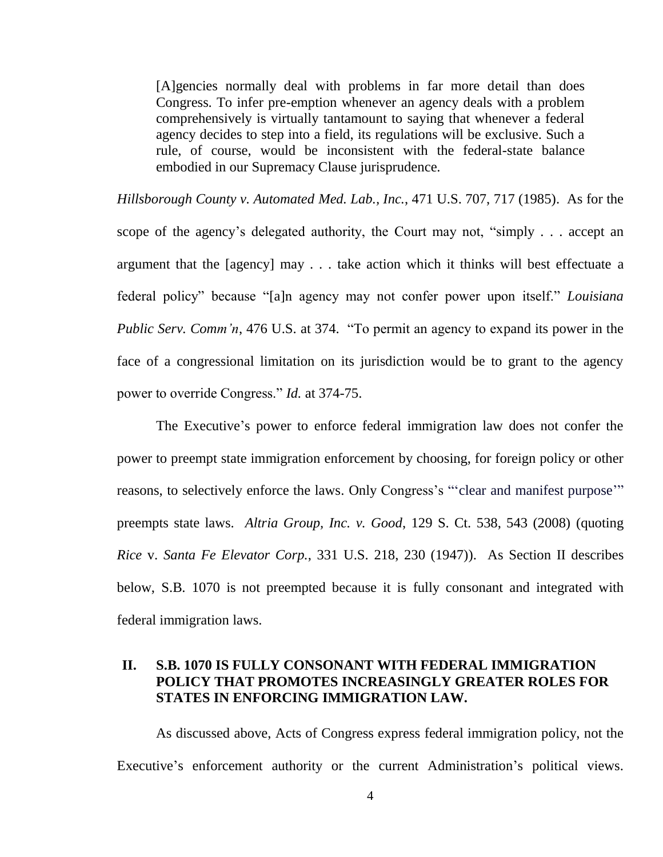[A]gencies normally deal with problems in far more detail than does Congress. To infer pre-emption whenever an agency deals with a problem comprehensively is virtually tantamount to saying that whenever a federal agency decides to step into a field, its regulations will be exclusive. Such a rule, of course, would be inconsistent with the federal-state balance embodied in our Supremacy Clause jurisprudence.

*Hillsborough County v. Automated Med. Lab., Inc.*, 471 U.S. 707, 717 (1985). As for the scope of the agency's delegated authority, the Court may not, "simply . . . accept an argument that the [agency] may . . . take action which it thinks will best effectuate a federal policy" because "[a]n agency may not confer power upon itself." *Louisiana Public Serv. Comm'n,* 476 U.S. at 374. "To permit an agency to expand its power in the face of a congressional limitation on its jurisdiction would be to grant to the agency power to override Congress." *Id.* at 374-75.

The Executive's power to enforce federal immigration law does not confer the power to preempt state immigration enforcement by choosing, for foreign policy or other reasons, to selectively enforce the laws. Only Congress's "clear and manifest purpose" preempts state laws. *Altria Group, Inc. v. Good*, 129 S. Ct. 538, 543 (2008) (quoting *Rice* v. *Santa Fe Elevator Corp.*, 331 U.S. 218, 230 (1947)). As Section II describes below, S.B. 1070 is not preempted because it is fully consonant and integrated with federal immigration laws.

### <span id="page-9-0"></span>**II. S.B. 1070 IS FULLY CONSONANT WITH FEDERAL IMMIGRATION POLICY THAT PROMOTES INCREASINGLY GREATER ROLES FOR STATES IN ENFORCING IMMIGRATION LAW.**

As discussed above, Acts of Congress express federal immigration policy, not the Executive's enforcement authority or the current Administration's political views.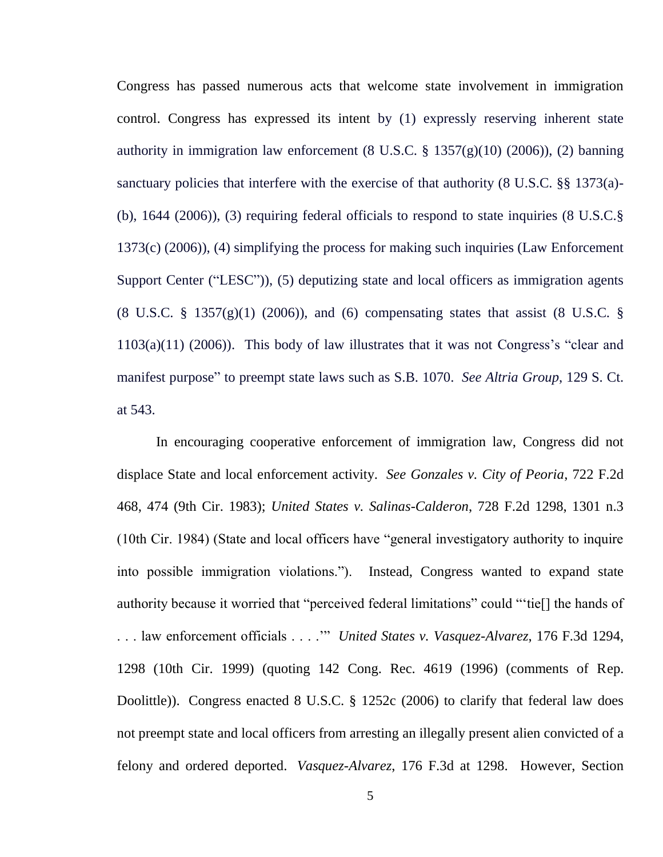Congress has passed numerous acts that welcome state involvement in immigration control. Congress has expressed its intent by (1) expressly reserving inherent state authority in immigration law enforcement  $(8 \text{ U.S.C. } § 1357(g)(10) (2006)), (2)$  banning sanctuary policies that interfere with the exercise of that authority (8 U.S.C. §§ 1373(a)- (b), 1644 (2006)), (3) requiring federal officials to respond to state inquiries (8 U.S.C.§ 1373(c) (2006)), (4) simplifying the process for making such inquiries (Law Enforcement Support Center ("LESC")), (5) deputizing state and local officers as immigration agents (8 U.S.C. § 1357(g)(1) (2006)), and (6) compensating states that assist (8 U.S.C. §  $1103(a)(11)$  (2006)). This body of law illustrates that it was not Congress's "clear and manifest purpose" to preempt state laws such as S.B. 1070. *See Altria Group*, 129 S. Ct. at 543.

In encouraging cooperative enforcement of immigration law, Congress did not displace State and local enforcement activity. *See Gonzales v. City of Peoria*, 722 F.2d 468, 474 (9th Cir. 1983); *United States v. Salinas-Calderon*, 728 F.2d 1298, 1301 n.3 (10th Cir. 1984) (State and local officers have "general investigatory authority to inquire into possible immigration violations."). Instead, Congress wanted to expand state authority because it worried that "perceived federal limitations" could ""tie[] the hands of . . . law enforcement officials . . . ."" *United States v. Vasquez-Alvarez*, 176 F.3d 1294, 1298 (10th Cir. 1999) (quoting 142 Cong. Rec. 4619 (1996) (comments of Rep. Doolittle)). Congress enacted 8 U.S.C. § 1252c (2006) to clarify that federal law does not preempt state and local officers from arresting an illegally present alien convicted of a felony and ordered deported. *Vasquez-Alvarez*, 176 F.3d at 1298. However, Section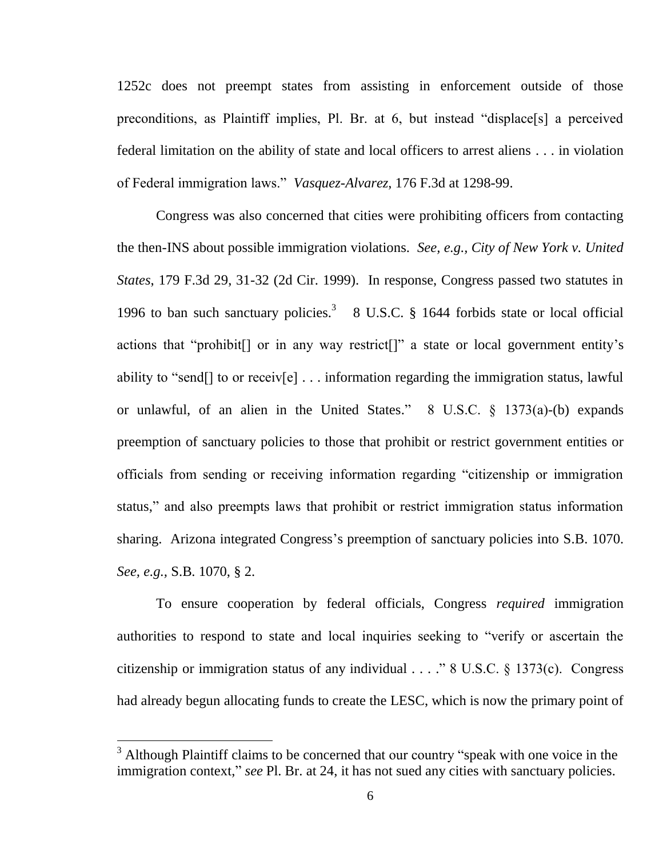1252c does not preempt states from assisting in enforcement outside of those preconditions, as Plaintiff implies, Pl. Br. at 6, but instead "displace[s] a perceived federal limitation on the ability of state and local officers to arrest aliens . . . in violation of Federal immigration laws." *Vasquez-Alvarez*, 176 F.3d at 1298-99.

Congress was also concerned that cities were prohibiting officers from contacting the then-INS about possible immigration violations. *See, e.g., City of New York v. United States*, 179 F.3d 29, 31-32 (2d Cir. 1999). In response, Congress passed two statutes in 1996 to ban such sanctuary policies. 3 8 U.S.C. § 1644 forbids state or local official actions that "prohibit[] or in any way restrict[]" a state or local government entity"s ability to "send[] to or receiv[e] . . . information regarding the immigration status, lawful or unlawful, of an alien in the United States." 8 U.S.C. § 1373(a)-(b) expands preemption of sanctuary policies to those that prohibit or restrict government entities or officials from sending or receiving information regarding "citizenship or immigration status," and also preempts laws that prohibit or restrict immigration status information sharing. Arizona integrated Congress's preemption of sanctuary policies into S.B. 1070. *See, e.g.,* S.B. 1070, § 2.

To ensure cooperation by federal officials, Congress *required* immigration authorities to respond to state and local inquiries seeking to "verify or ascertain the citizenship or immigration status of any individual  $\ldots$  ." 8 U.S.C. § 1373(c). Congress had already begun allocating funds to create the LESC, which is now the primary point of

1

 $3$  Although Plaintiff claims to be concerned that our country "speak with one voice in the immigration context," *see* Pl. Br. at 24, it has not sued any cities with sanctuary policies.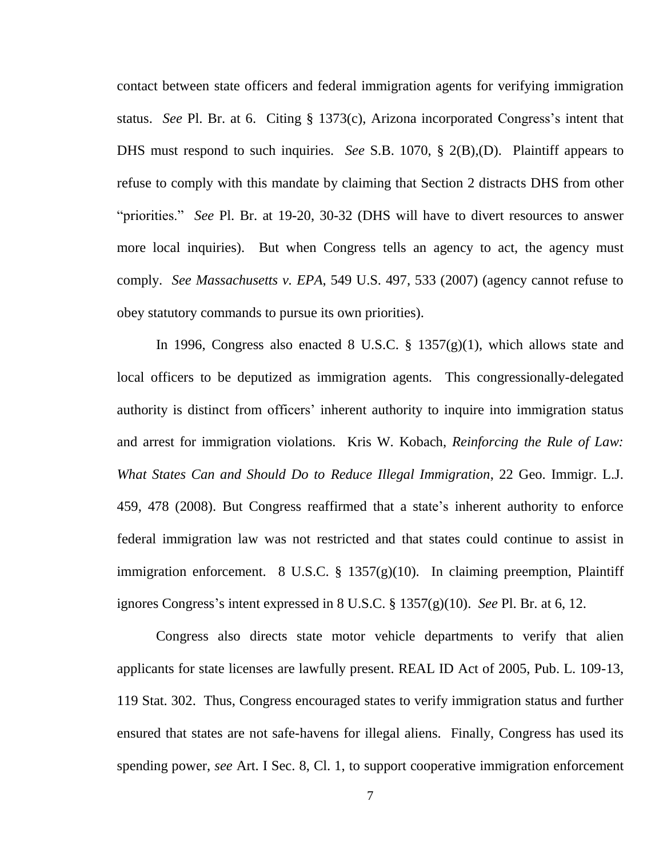contact between state officers and federal immigration agents for verifying immigration status. *See* Pl. Br. at 6. Citing § 1373(c), Arizona incorporated Congress's intent that DHS must respond to such inquiries. *See* S.B. 1070, § 2(B),(D). Plaintiff appears to refuse to comply with this mandate by claiming that Section 2 distracts DHS from other "priorities." *See* Pl. Br. at 19-20, 30-32 (DHS will have to divert resources to answer more local inquiries). But when Congress tells an agency to act, the agency must comply. *See Massachusetts v. EPA*, 549 U.S. 497, 533 (2007) (agency cannot refuse to obey statutory commands to pursue its own priorities).

In 1996, Congress also enacted 8 U.S.C.  $\S$  1357(g)(1), which allows state and local officers to be deputized as immigration agents. This congressionally-delegated authority is distinct from officers' inherent authority to inquire into immigration status and arrest for immigration violations. Kris W. Kobach, *Reinforcing the Rule of Law: What States Can and Should Do to Reduce Illegal Immigration*, 22 Geo. Immigr. L.J. 459, 478 (2008). But Congress reaffirmed that a state"s inherent authority to enforce federal immigration law was not restricted and that states could continue to assist in immigration enforcement. 8 U.S.C. § 1357(g)(10). In claiming preemption, Plaintiff ignores Congress"s intent expressed in 8 U.S.C. § 1357(g)(10). *See* Pl. Br. at 6, 12.

Congress also directs state motor vehicle departments to verify that alien applicants for state licenses are lawfully present. REAL ID Act of 2005, Pub. L. 109-13, 119 Stat. 302. Thus, Congress encouraged states to verify immigration status and further ensured that states are not safe-havens for illegal aliens. Finally, Congress has used its spending power, *see* Art. I Sec. 8, Cl. 1, to support cooperative immigration enforcement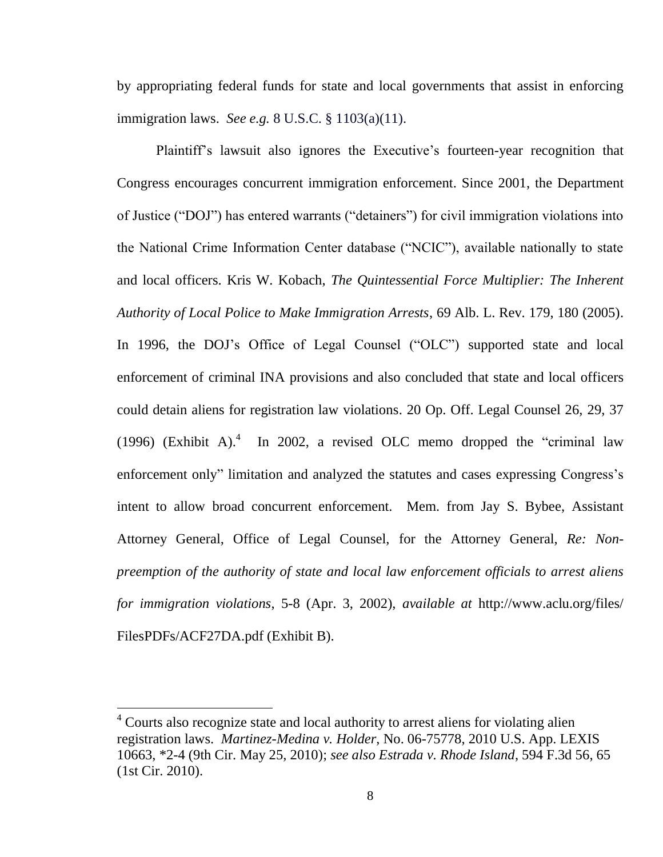by appropriating federal funds for state and local governments that assist in enforcing immigration laws. *See e.g.* 8 U.S.C. § 1103(a)(11).

Plaintiff's lawsuit also ignores the Executive's fourteen-year recognition that Congress encourages concurrent immigration enforcement. Since 2001, the Department of Justice ("DOJ") has entered warrants ("detainers") for civil immigration violations into the National Crime Information Center database ("NCIC"), available nationally to state and local officers. Kris W. Kobach, *The Quintessential Force Multiplier: The Inherent Authority of Local Police to Make Immigration Arrests*, 69 Alb. L. Rev. 179, 180 (2005). In 1996, the DOJ"s Office of Legal Counsel ("OLC") supported state and local enforcement of criminal INA provisions and also concluded that state and local officers could detain aliens for registration law violations. 20 Op. Off. Legal Counsel 26, 29, 37 (1996) (Exhibit A). $4$  In 2002, a revised OLC memo dropped the "criminal law enforcement only" limitation and analyzed the statutes and cases expressing Congress"s intent to allow broad concurrent enforcement. Mem. from Jay S. Bybee, Assistant Attorney General, Office of Legal Counsel, for the Attorney General, *Re: Nonpreemption of the authority of state and local law enforcement officials to arrest aliens for immigration violations*, 5-8 (Apr. 3, 2002), *available at* http://www.aclu.org/files/ FilesPDFs/ACF27DA.pdf (Exhibit B).

<u>.</u>

<sup>&</sup>lt;sup>4</sup> Courts also recognize state and local authority to arrest aliens for violating alien registration laws. *Martinez-Medina v. Holder*, No. 06-75778, 2010 U.S. App. LEXIS 10663, \*2-4 (9th Cir. May 25, 2010); *see also Estrada v. Rhode Island*, 594 F.3d 56, 65 (1st Cir. 2010).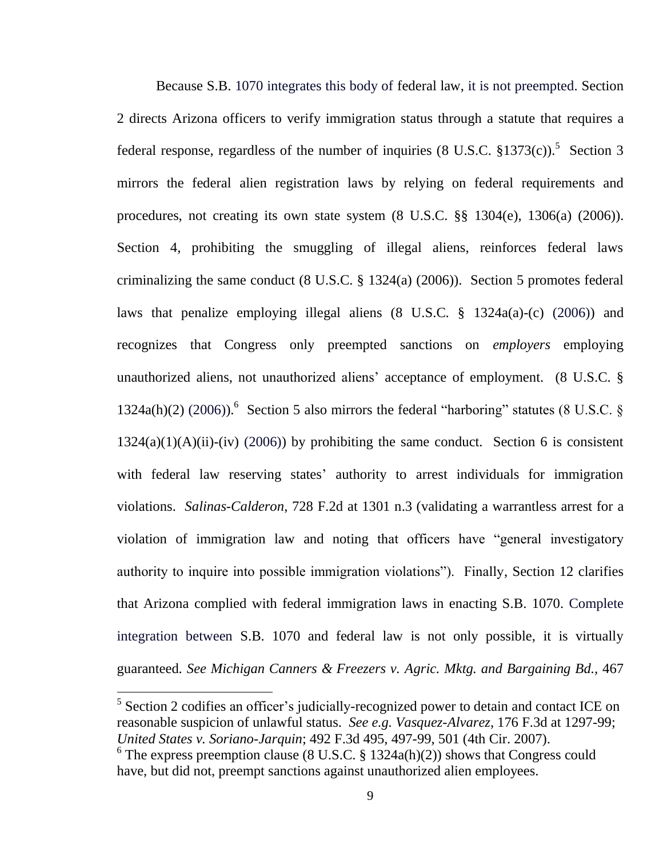Because S.B. 1070 integrates this body of federal law, it is not preempted. Section 2 directs Arizona officers to verify immigration status through a statute that requires a federal response, regardless of the number of inquiries  $(8 \text{ U.S.C. } §1373(c))$ .<sup>5</sup> Section 3 mirrors the federal alien registration laws by relying on federal requirements and procedures, not creating its own state system (8 U.S.C. §§ 1304(e), 1306(a) (2006)). Section 4, prohibiting the smuggling of illegal aliens, reinforces federal laws criminalizing the same conduct (8 U.S.C. § 1324(a) (2006)). Section 5 promotes federal laws that penalize employing illegal aliens (8 U.S.C. § 1324a(a)-(c) (2006)) and recognizes that Congress only preempted sanctions on *employers* employing unauthorized aliens, not unauthorized aliens" acceptance of employment. (8 U.S.C. § 1324a(h)(2) (2006)).<sup>6</sup> Section 5 also mirrors the federal "harboring" statutes (8 U.S.C. §  $1324(a)(1)(A)(ii)-(iv)$  (2006)) by prohibiting the same conduct. Section 6 is consistent with federal law reserving states' authority to arrest individuals for immigration violations. *Salinas-Calderon*, 728 F.2d at 1301 n.3 (validating a warrantless arrest for a violation of immigration law and noting that officers have "general investigatory authority to inquire into possible immigration violations"). Finally, Section 12 clarifies that Arizona complied with federal immigration laws in enacting S.B. 1070. Complete integration between S.B. 1070 and federal law is not only possible, it is virtually guaranteed. *See [Michigan Canners & Freezers v. Agric.](https://www.lexis.com/research/buttonTFLink?_m=2d8467249ed14cf8507fbb0cefa2d7d9&_xfercite=%3ccite%20cc%3d%22USA%22%3e%3c%21%5bCDATA%5b989%20So.%202d%20770%5d%5d%3e%3c%2fcite%3e&_butType=3&_butStat=2&_butNum=75&_butInline=1&_butinfo=%3ccite%20cc%3d%22USA%22%3e%3c%21%5bCDATA%5b467%20U.S.%20461%2c%20469%5d%5d%3e%3c%2fcite%3e&_fmtstr=FULL&docnum=1&_startdoc=1&wchp=dGLbVtb-zSkAz&_md5=ebebaa0e1ee28aeb5110552b2f47b272) Mktg. and Bargaining Bd.,* 467

<u>.</u>

<sup>&</sup>lt;sup>5</sup> Section 2 codifies an officer's judicially-recognized power to detain and contact ICE on reasonable suspicion of unlawful status. *See e.g. Vasquez-Alvarez*, 176 F.3d at 1297-99; *United States v. Soriano-Jarquin*; 492 F.3d 495, 497-99, 501 (4th Cir. 2007).

 $6$  The express preemption clause (8 U.S.C. § 1324a(h)(2)) shows that Congress could have, but did not, preempt sanctions against unauthorized alien employees.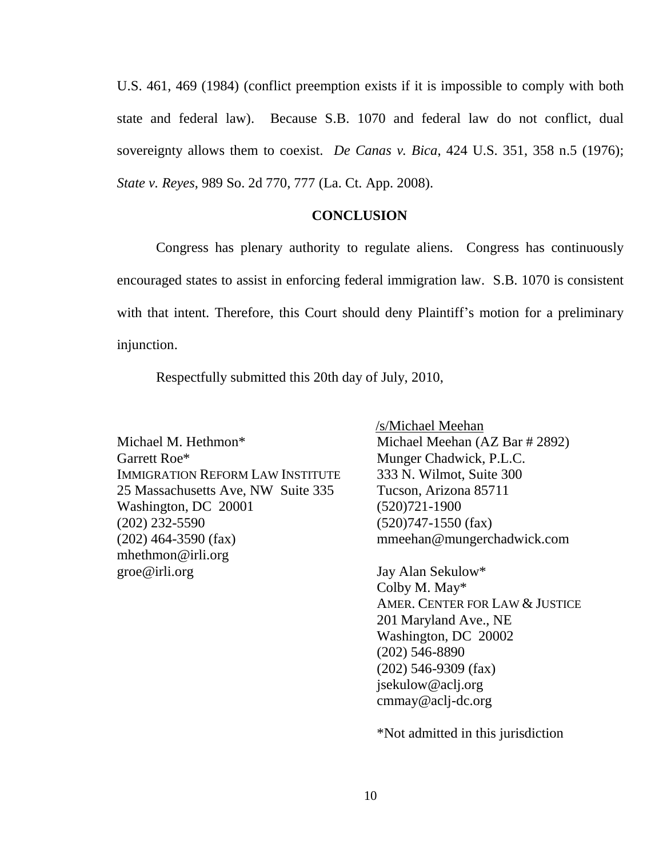U.S. 461, 469 (1984) (conflict preemption exists if it is impossible to comply with both state and federal law). Because S.B. 1070 and federal law do not conflict, dual sovereignty allows them to coexist. *De Canas v. Bica*, 424 U.S. 351, 358 n.5 (1976); *State v. Reyes*, 989 So. 2d 770, 777 (La. Ct. App. 2008).

### **CONCLUSION**

Congress has plenary authority to regulate aliens. Congress has continuously encouraged states to assist in enforcing federal immigration law. S.B. 1070 is consistent with that intent. Therefore, this Court should deny Plaintiff's motion for a preliminary injunction.

Respectfully submitted this 20th day of July, 2010,

Michael M. Hethmon\* Garrett Roe\* IMMIGRATION REFORM LAW INSTITUTE 25 Massachusetts Ave, NW Suite 335 Washington, DC 20001 (202) 232-5590 (202) 464-3590 (fax) mhethmon@irli.org groe@irli.org

 /s/Michael Meehan Michael Meehan (AZ Bar # 2892) Munger Chadwick, P.L.C. 333 N. Wilmot, Suite 300 Tucson, Arizona 85711 (520)721-1900 (520)747-1550 (fax) mmeehan@mungerchadwick.com

Jay Alan Sekulow\* Colby M. May\* AMER. CENTER FOR LAW & JUSTICE 201 Maryland Ave., NE Washington, DC 20002 (202) 546-8890 (202) 546-9309 (fax) jsekulow@aclj.org cmmay@aclj-dc.org

\*Not admitted in this jurisdiction